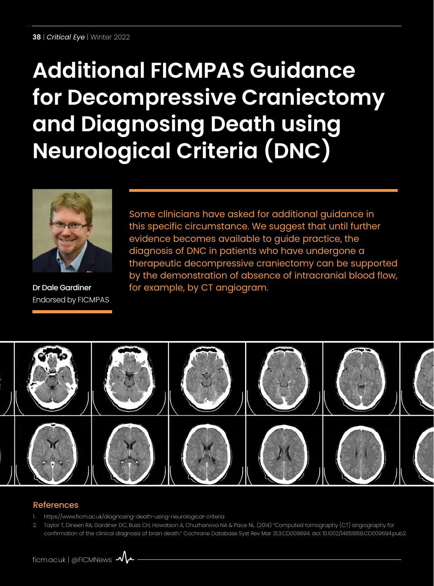# **Additional FICMPAS Guidance for Decompressive Craniectomy and Diagnosing Death using Neurological Criteria (DNC)**



Dr Dale Gardiner Endorsed by FICMPAS

Some clinicians have asked for additional guidance in this specific circumstance. We suggest that until further evidence becomes available to guide practice, the diagnosis of DNC in patients who have undergone a therapeutic decompressive craniectomy can be supported by the demonstration of absence of intracranial blood flow, for example, by CT angiogram.



#### References

- 1. <https://www.ficm.ac.uk/diagnosing-death-using-neurological-criteria>
- 2. Taylor T, Dineen RA, Gardiner DC, Buss CH, Howatson A, Chuzhanova NA & Pace NL. (2014) "Computed tomography (CT) angiography for confirmation of the clinical diagnosis of brain death." Cochrane Database Syst Rev Mar 31;3:CD009694. doi: 10.1002/14651858.CD009694.pub2.